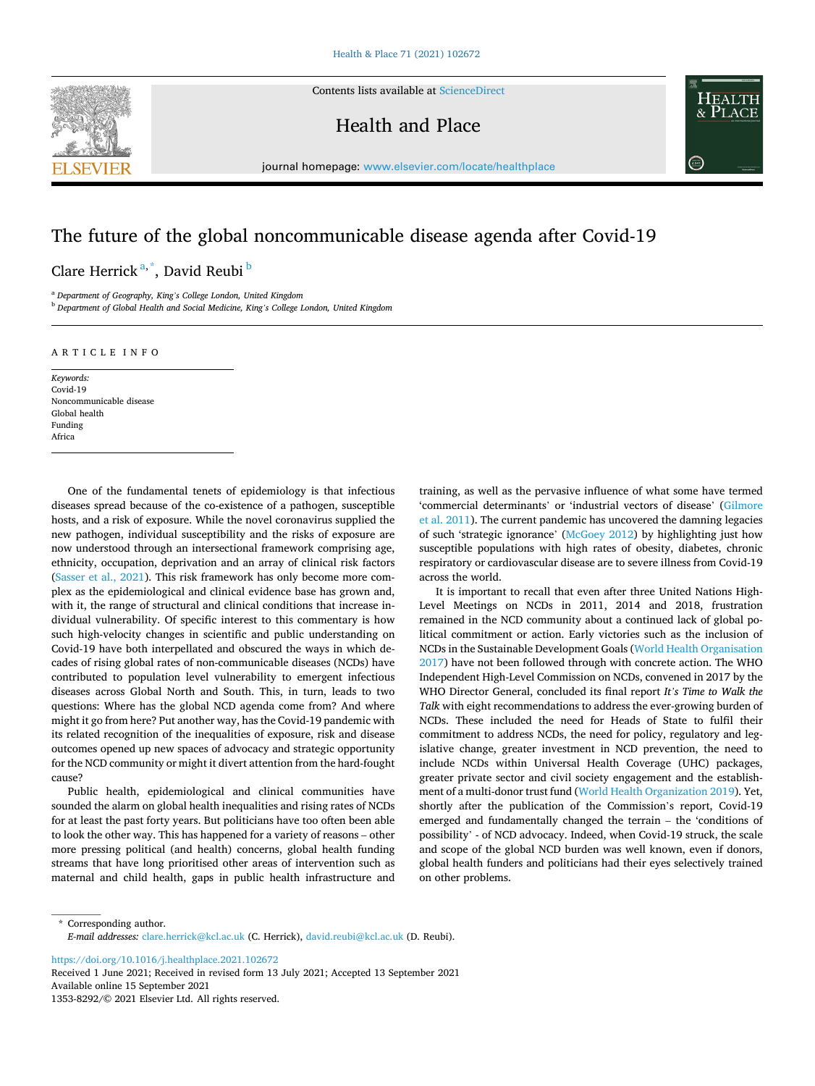Contents lists available at [ScienceDirect](www.sciencedirect.com/science/journal/13538292)



Health and Place



journal homepage: [www.elsevier.com/locate/healthplace](https://www.elsevier.com/locate/healthplace) 

## The future of the global noncommunicable disease agenda after Covid-19

Clare Herrick<sup>a,\*</sup>, David Reubi <sup>b</sup>

<sup>a</sup> *Department of Geography, King's College London, United Kingdom* <sup>b</sup> *Department of Global Health and Social Medicine, King's College London, United Kingdom* 

## ARTICLE INFO

*Keywords:*  Covid-19 Noncommunicable disease Global health Funding Africa

One of the fundamental tenets of epidemiology is that infectious diseases spread because of the co-existence of a pathogen, susceptible hosts, and a risk of exposure. While the novel coronavirus supplied the new pathogen, individual susceptibility and the risks of exposure are now understood through an intersectional framework comprising age, ethnicity, occupation, deprivation and an array of clinical risk factors ([Sasser et al., 2021\)](#page-2-0). This risk framework has only become more complex as the epidemiological and clinical evidence base has grown and, with it, the range of structural and clinical conditions that increase individual vulnerability. Of specific interest to this commentary is how such high-velocity changes in scientific and public understanding on Covid-19 have both interpellated and obscured the ways in which decades of rising global rates of non-communicable diseases (NCDs) have contributed to population level vulnerability to emergent infectious diseases across Global North and South. This, in turn, leads to two questions: Where has the global NCD agenda come from? And where might it go from here? Put another way, has the Covid-19 pandemic with its related recognition of the inequalities of exposure, risk and disease outcomes opened up new spaces of advocacy and strategic opportunity for the NCD community or might it divert attention from the hard-fought cause?

Public health, epidemiological and clinical communities have sounded the alarm on global health inequalities and rising rates of NCDs for at least the past forty years. But politicians have too often been able to look the other way. This has happened for a variety of reasons – other more pressing political (and health) concerns, global health funding streams that have long prioritised other areas of intervention such as maternal and child health, gaps in public health infrastructure and training, as well as the pervasive influence of what some have termed 'commercial determinants' or 'industrial vectors of disease' [\(Gilmore](#page-2-0)  [et al. 2011\)](#page-2-0). The current pandemic has uncovered the damning legacies of such 'strategic ignorance' ([McGoey 2012](#page-2-0)) by highlighting just how susceptible populations with high rates of obesity, diabetes, chronic respiratory or cardiovascular disease are to severe illness from Covid-19 across the world.

It is important to recall that even after three United Nations High-Level Meetings on NCDs in 2011, 2014 and 2018, frustration remained in the NCD community about a continued lack of global political commitment or action. Early victories such as the inclusion of NCDs in the Sustainable Development Goals ([World Health Organisation](#page-2-0)  [2017\)](#page-2-0) have not been followed through with concrete action. The WHO Independent High-Level Commission on NCDs, convened in 2017 by the WHO Director General, concluded its final report *It's Time to Walk the Talk* with eight recommendations to address the ever-growing burden of NCDs. These included the need for Heads of State to fulfil their commitment to address NCDs, the need for policy, regulatory and legislative change, greater investment in NCD prevention, the need to include NCDs within Universal Health Coverage (UHC) packages, greater private sector and civil society engagement and the establishment of a multi-donor trust fund ([World Health Organization 2019\)](#page-2-0). Yet, shortly after the publication of the Commission's report, Covid-19 emerged and fundamentally changed the terrain – the 'conditions of possibility' - of NCD advocacy. Indeed, when Covid-19 struck, the scale and scope of the global NCD burden was well known, even if donors, global health funders and politicians had their eyes selectively trained on other problems.

\* Corresponding author. *E-mail addresses:* [clare.herrick@kcl.ac.uk](mailto:clare.herrick@kcl.ac.uk) (C. Herrick), [david.reubi@kcl.ac.uk](mailto:david.reubi@kcl.ac.uk) (D. Reubi).

<https://doi.org/10.1016/j.healthplace.2021.102672>

Available online 15 September 2021 1353-8292/© 2021 Elsevier Ltd. All rights reserved. Received 1 June 2021; Received in revised form 13 July 2021; Accepted 13 September 2021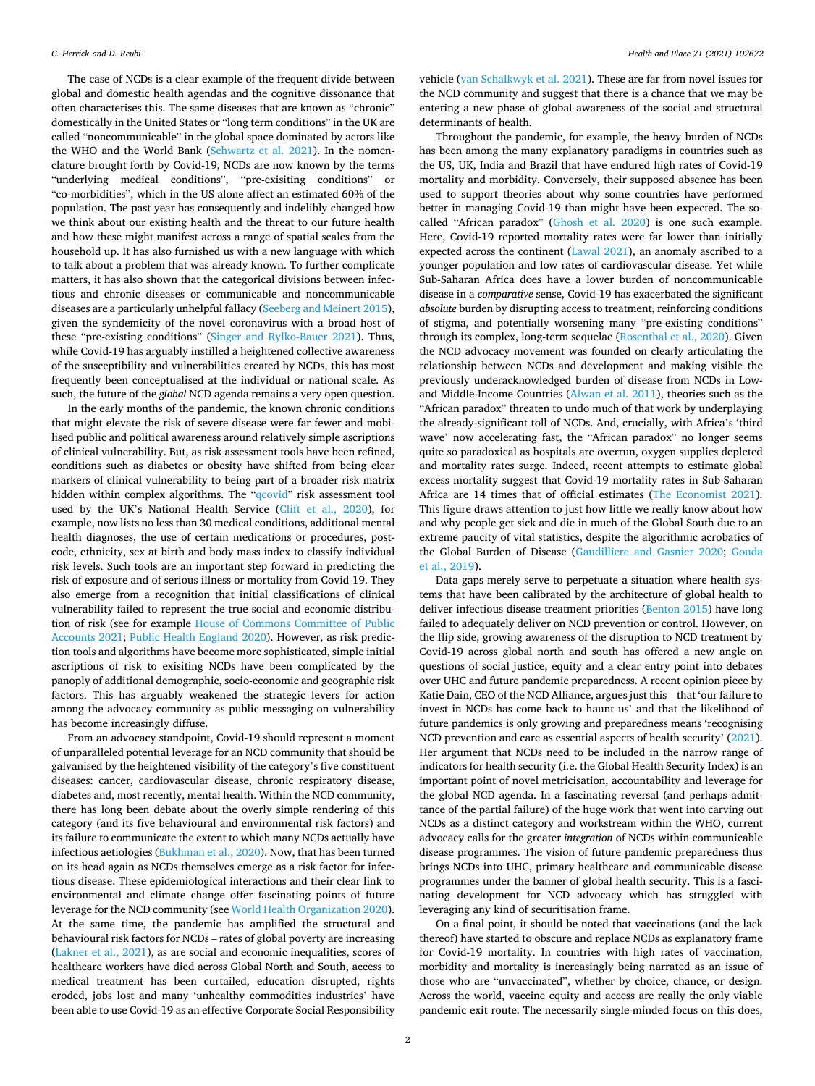The case of NCDs is a clear example of the frequent divide between global and domestic health agendas and the cognitive dissonance that often characterises this. The same diseases that are known as "chronic" domestically in the United States or "long term conditions" in the UK are called "noncommunicable" in the global space dominated by actors like the WHO and the World Bank ([Schwartz et al. 2021\)](#page-2-0). In the nomenclature brought forth by Covid-19, NCDs are now known by the terms "underlying medical conditions", "pre-exisiting conditions" or "co-morbidities", which in the US alone affect an estimated 60% of the population. The past year has consequently and indelibly changed how we think about our existing health and the threat to our future health and how these might manifest across a range of spatial scales from the household up. It has also furnished us with a new language with which to talk about a problem that was already known. To further complicate matters, it has also shown that the categorical divisions between infectious and chronic diseases or communicable and noncommunicable diseases are a particularly unhelpful fallacy [\(Seeberg and Meinert 2015](#page-2-0)), given the syndemicity of the novel coronavirus with a broad host of these "pre-existing conditions" [\(Singer and Rylko-Bauer 2021\)](#page-2-0). Thus, while Covid-19 has arguably instilled a heightened collective awareness of the susceptibility and vulnerabilities created by NCDs, this has most frequently been conceptualised at the individual or national scale. As such, the future of the *global* NCD agenda remains a very open question.

In the early months of the pandemic, the known chronic conditions that might elevate the risk of severe disease were far fewer and mobilised public and political awareness around relatively simple ascriptions of clinical vulnerability. But, as risk assessment tools have been refined, conditions such as diabetes or obesity have shifted from being clear markers of clinical vulnerability to being part of a broader risk matrix hidden within complex algorithms. The "[qcovid](https://qcovid.org/Calculation)" risk assessment tool used by the UK's National Health Service [\(Clift et al., 2020\)](#page-2-0), for example, now lists no less than 30 medical conditions, additional mental health diagnoses, the use of certain medications or procedures, postcode, ethnicity, sex at birth and body mass index to classify individual risk levels. Such tools are an important step forward in predicting the risk of exposure and of serious illness or mortality from Covid-19. They also emerge from a recognition that initial classifications of clinical vulnerability failed to represent the true social and economic distribution of risk (see for example [House of Commons Committee of Public](#page-2-0)  [Accounts 2021](#page-2-0); [Public Health England 2020\)](#page-2-0). However, as risk prediction tools and algorithms have become more sophisticated, simple initial ascriptions of risk to exisiting NCDs have been complicated by the panoply of additional demographic, socio-economic and geographic risk factors. This has arguably weakened the strategic levers for action among the advocacy community as public messaging on vulnerability has become increasingly diffuse.

From an advocacy standpoint, Covid-19 should represent a moment of unparalleled potential leverage for an NCD community that should be galvanised by the heightened visibility of the category's five constituent diseases: cancer, cardiovascular disease, chronic respiratory disease, diabetes and, most recently, mental health. Within the NCD community, there has long been debate about the overly simple rendering of this category (and its five behavioural and environmental risk factors) and its failure to communicate the extent to which many NCDs actually have infectious aetiologies [\(Bukhman et al., 2020](#page-2-0)). Now, that has been turned on its head again as NCDs themselves emerge as a risk factor for infectious disease. These epidemiological interactions and their clear link to environmental and climate change offer fascinating points of future leverage for the NCD community (see [World Health Organization 2020](#page-2-0)). At the same time, the pandemic has amplified the structural and behavioural risk factors for NCDs – rates of global poverty are increasing ([Lakner et al., 2021](#page-2-0)), as are social and economic inequalities, scores of healthcare workers have died across Global North and South, access to medical treatment has been curtailed, education disrupted, rights eroded, jobs lost and many 'unhealthy commodities industries' have been able to use Covid-19 as an effective Corporate Social Responsibility

vehicle ([van Schalkwyk et al. 2021](#page-2-0)). These are far from novel issues for the NCD community and suggest that there is a chance that we may be entering a new phase of global awareness of the social and structural determinants of health.

Throughout the pandemic, for example, the heavy burden of NCDs has been among the many explanatory paradigms in countries such as the US, UK, India and Brazil that have endured high rates of Covid-19 mortality and morbidity. Conversely, their supposed absence has been used to support theories about why some countries have performed better in managing Covid-19 than might have been expected. The socalled "African paradox" [\(Ghosh et al. 2020](#page-2-0)) is one such example. Here, Covid-19 reported mortality rates were far lower than initially expected across the continent ([Lawal 2021](#page-2-0)), an anomaly ascribed to a younger population and low rates of cardiovascular disease. Yet while Sub-Saharan Africa does have a lower burden of noncommunicable disease in a *comparative* sense, Covid-19 has exacerbated the significant *absolute* burden by disrupting access to treatment, reinforcing conditions of stigma, and potentially worsening many "pre-existing conditions" through its complex, long-term sequelae [\(Rosenthal et al., 2020\)](#page-2-0). Given the NCD advocacy movement was founded on clearly articulating the relationship between NCDs and development and making visible the previously underacknowledged burden of disease from NCDs in Lowand Middle-Income Countries ([Alwan et al. 2011\)](#page-2-0), theories such as the "African paradox" threaten to undo much of that work by underplaying the already-significant toll of NCDs. And, crucially, with Africa's 'third wave' now accelerating fast, the "African paradox" no longer seems quite so paradoxical as hospitals are overrun, oxygen supplies depleted and mortality rates surge. Indeed, recent attempts to estimate global excess mortality suggest that Covid-19 mortality rates in Sub-Saharan Africa are 14 times that of official estimates [\(The Economist 2021](#page-2-0)). This figure draws attention to just how little we really know about how and why people get sick and die in much of the Global South due to an extreme paucity of vital statistics, despite the algorithmic acrobatics of the Global Burden of Disease ([Gaudilliere and Gasnier 2020;](#page-2-0) [Gouda](#page-2-0)  [et al., 2019\)](#page-2-0).

Data gaps merely serve to perpetuate a situation where health systems that have been calibrated by the architecture of global health to deliver infectious disease treatment priorities [\(Benton 2015\)](#page-2-0) have long failed to adequately deliver on NCD prevention or control. However, on the flip side, growing awareness of the disruption to NCD treatment by Covid-19 across global north and south has offered a new angle on questions of social justice, equity and a clear entry point into debates over UHC and future pandemic preparedness. A recent opinion piece by Katie Dain, CEO of the NCD Alliance, argues just this – that 'our failure to invest in NCDs has come back to haunt us' and that the likelihood of future pandemics is only growing and preparedness means 'recognising NCD prevention and care as essential aspects of health security' ([2021](#page-2-0)). Her argument that NCDs need to be included in the narrow range of indicators for health security (i.e. the Global Health Security Index) is an important point of novel metricisation, accountability and leverage for the global NCD agenda. In a fascinating reversal (and perhaps admittance of the partial failure) of the huge work that went into carving out NCDs as a distinct category and workstream within the WHO, current advocacy calls for the greater *integration* of NCDs within communicable disease programmes. The vision of future pandemic preparedness thus brings NCDs into UHC, primary healthcare and communicable disease programmes under the banner of global health security. This is a fascinating development for NCD advocacy which has struggled with leveraging any kind of securitisation frame.

On a final point, it should be noted that vaccinations (and the lack thereof) have started to obscure and replace NCDs as explanatory frame for Covid-19 mortality. In countries with high rates of vaccination, morbidity and mortality is increasingly being narrated as an issue of those who are "unvaccinated", whether by choice, chance, or design. Across the world, vaccine equity and access are really the only viable pandemic exit route. The necessarily single-minded focus on this does,